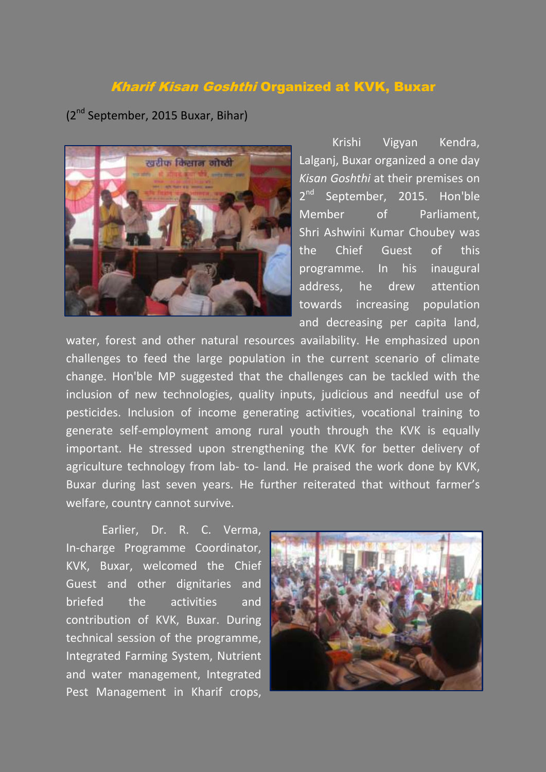## Kharif Kisan Goshthi Organized at KVK, Buxar

(2nd September, 2015 Buxar, Bihar)



Krishi Vigyan Kendra, Lalganj, Buxar organized a one day *Kisan Goshthi* at their premises on  $2^{nd}$ September, 2015. Hon'ble Member of Parliament, Shri Ashwini Kumar Choubey was the Chief Guest of this programme. In his inaugural address, he drew attention towards increasing population and decreasing per capita land,

water, forest and other natural resources availability. He emphasized upon challenges to feed the large population in the current scenario of climate change. Hon'ble MP suggested that the challenges can be tackled with the inclusion of new technologies, quality inputs, judicious and needful use of pesticides. Inclusion of income generating activities, vocational training to generate self-employment among rural youth through the KVK is equally important. He stressed upon strengthening the KVK for better delivery of agriculture technology from lab- to- land. He praised the work done by KVK, Buxar during last seven years. He further reiterated that without farmer's welfare, country cannot survive.

Earlier, Dr. R. C. Verma, In-charge Programme Coordinator, KVK, Buxar, welcomed the Chief Guest and other dignitaries and briefed the activities and contribution of KVK, Buxar. During technical session of the programme, Integrated Farming System, Nutrient and water management, Integrated Pest Management in Kharif crops,